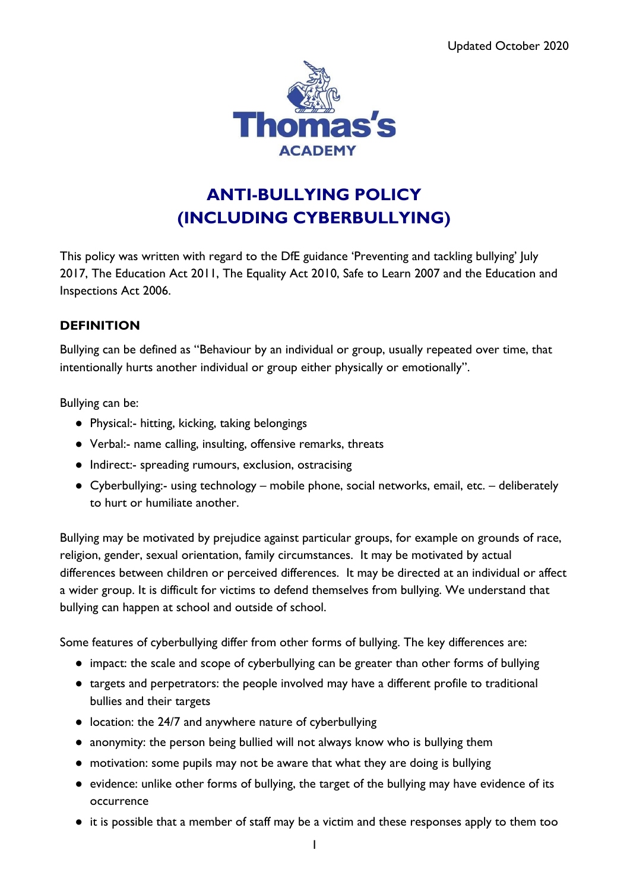

# **ANTI-BULLYING POLICY (INCLUDING CYBERBULLYING)**

This policy was written with regard to the DfE guidance 'Preventing and tackling bullying' July 2017, The Education Act 2011, The Equality Act 2010, Safe to Learn 2007 and the Education and Inspections Act 2006.

# **DEFINITION**

Bullying can be defined as "Behaviour by an individual or group, usually repeated over time, that intentionally hurts another individual or group either physically or emotionally".

Bullying can be:

- Physical:- hitting, kicking, taking belongings
- Verbal:- name calling, insulting, offensive remarks, threats
- Indirect:- spreading rumours, exclusion, ostracising
- Cyberbullying:- using technology mobile phone, social networks, email, etc. deliberately to hurt or humiliate another.

Bullying may be motivated by prejudice against particular groups, for example on grounds of race, religion, gender, sexual orientation, family circumstances. It may be motivated by actual differences between children or perceived differences. It may be directed at an individual or affect a wider group. It is difficult for victims to defend themselves from bullying. We understand that bullying can happen at school and outside of school.

Some features of cyberbullying differ from other forms of bullying. The key differences are:

- impact: the scale and scope of cyberbullying can be greater than other forms of bullying
- targets and perpetrators: the people involved may have a different profile to traditional bullies and their targets
- location: the 24/7 and anywhere nature of cyberbullying
- anonymity: the person being bullied will not always know who is bullying them
- motivation: some pupils may not be aware that what they are doing is bullying
- evidence: unlike other forms of bullying, the target of the bullying may have evidence of its occurrence
- it is possible that a member of staff may be a victim and these responses apply to them too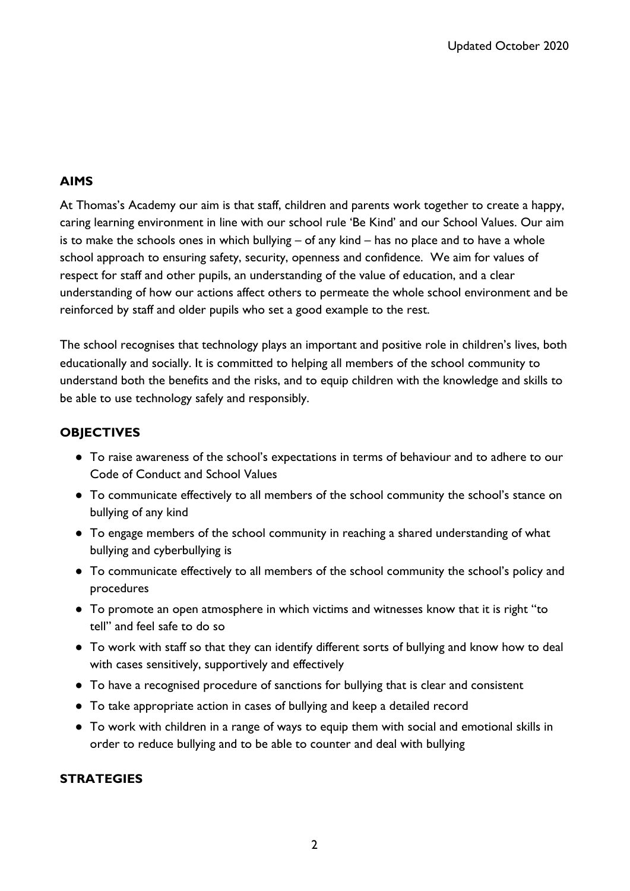## **AIMS**

At Thomas's Academy our aim is that staff, children and parents work together to create a happy, caring learning environment in line with our school rule 'Be Kind' and our School Values. Our aim is to make the schools ones in which bullying  $-$  of any kind  $-$  has no place and to have a whole school approach to ensuring safety, security, openness and confidence. We aim for values of respect for staff and other pupils, an understanding of the value of education, and a clear understanding of how our actions affect others to permeate the whole school environment and be reinforced by staff and older pupils who set a good example to the rest.

The school recognises that technology plays an important and positive role in children's lives, both educationally and socially. It is committed to helping all members of the school community to understand both the benefits and the risks, and to equip children with the knowledge and skills to be able to use technology safely and responsibly.

# **OBJECTIVES**

- To raise awareness of the school's expectations in terms of behaviour and to adhere to our Code of Conduct and School Values
- To communicate effectively to all members of the school community the school's stance on bullying of any kind
- To engage members of the school community in reaching a shared understanding of what bullying and cyberbullying is
- To communicate effectively to all members of the school community the school's policy and procedures
- To promote an open atmosphere in which victims and witnesses know that it is right "to tell" and feel safe to do so
- To work with staff so that they can identify different sorts of bullying and know how to deal with cases sensitively, supportively and effectively
- To have a recognised procedure of sanctions for bullying that is clear and consistent
- To take appropriate action in cases of bullying and keep a detailed record
- To work with children in a range of ways to equip them with social and emotional skills in order to reduce bullying and to be able to counter and deal with bullying

### **STRATEGIES**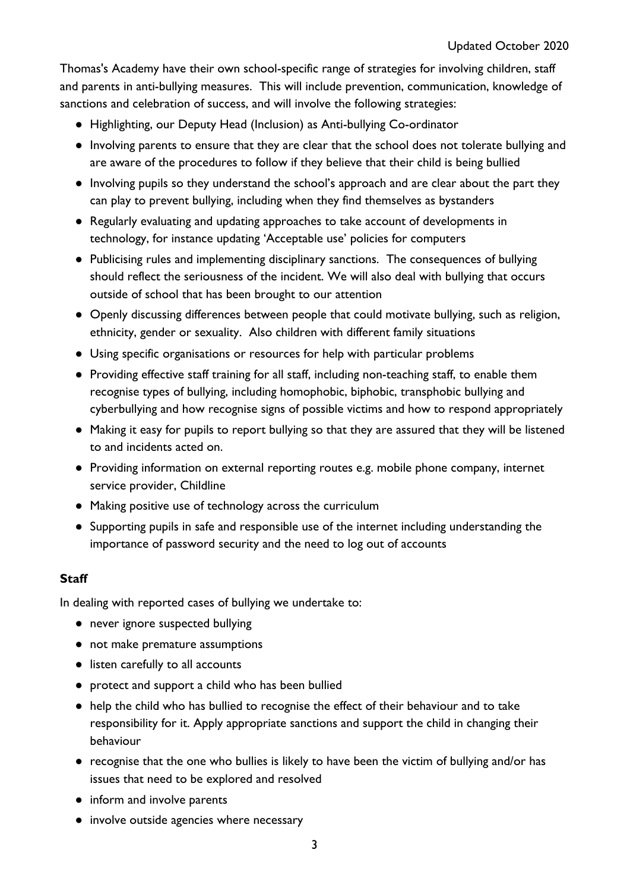Thomas's Academy have their own school-specific range of strategies for involving children, staff and parents in anti-bullying measures. This will include prevention, communication, knowledge of sanctions and celebration of success, and will involve the following strategies:

- Highlighting, our Deputy Head (Inclusion) as Anti-bullying Co-ordinator
- Involving parents to ensure that they are clear that the school does not tolerate bullying and are aware of the procedures to follow if they believe that their child is being bullied
- Involving pupils so they understand the school's approach and are clear about the part they can play to prevent bullying, including when they find themselves as bystanders
- Regularly evaluating and updating approaches to take account of developments in technology, for instance updating 'Acceptable use' policies for computers
- Publicising rules and implementing disciplinary sanctions. The consequences of bullying should reflect the seriousness of the incident. We will also deal with bullying that occurs outside of school that has been brought to our attention
- Openly discussing differences between people that could motivate bullying, such as religion, ethnicity, gender or sexuality. Also children with different family situations
- Using specific organisations or resources for help with particular problems
- Providing effective staff training for all staff, including non-teaching staff, to enable them recognise types of bullying, including homophobic, biphobic, transphobic bullying and cyberbullying and how recognise signs of possible victims and how to respond appropriately
- Making it easy for pupils to report bullying so that they are assured that they will be listened to and incidents acted on.
- Providing information on external reporting routes e.g. mobile phone company, internet service provider, Childline
- Making positive use of technology across the curriculum
- Supporting pupils in safe and responsible use of the internet including understanding the importance of password security and the need to log out of accounts

### **Staff**

In dealing with reported cases of bullying we undertake to:

- never ignore suspected bullying
- not make premature assumptions
- listen carefully to all accounts
- protect and support a child who has been bullied
- help the child who has bullied to recognise the effect of their behaviour and to take responsibility for it. Apply appropriate sanctions and support the child in changing their behaviour
- recognise that the one who bullies is likely to have been the victim of bullying and/or has issues that need to be explored and resolved
- inform and involve parents
- involve outside agencies where necessary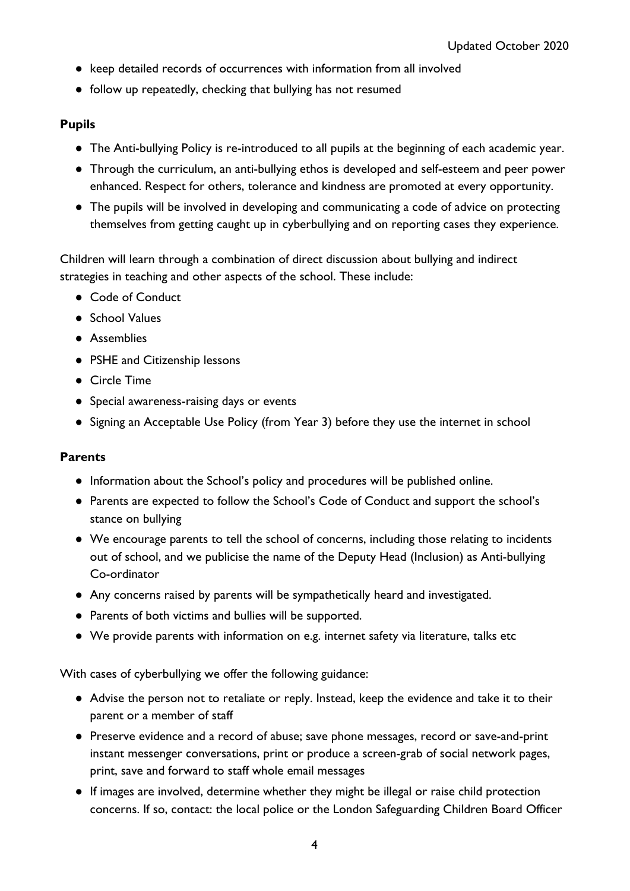- keep detailed records of occurrences with information from all involved
- follow up repeatedly, checking that bullying has not resumed

### **Pupils**

- The Anti-bullying Policy is re-introduced to all pupils at the beginning of each academic year.
- Through the curriculum, an anti-bullying ethos is developed and self-esteem and peer power enhanced. Respect for others, tolerance and kindness are promoted at every opportunity.
- The pupils will be involved in developing and communicating a code of advice on protecting themselves from getting caught up in cyberbullying and on reporting cases they experience.

Children will learn through a combination of direct discussion about bullying and indirect strategies in teaching and other aspects of the school. These include:

- Code of Conduct
- School Values
- Assemblies
- PSHE and Citizenship lessons
- Circle Time
- Special awareness-raising days or events
- Signing an Acceptable Use Policy (from Year 3) before they use the internet in school

### **Parents**

- Information about the School's policy and procedures will be published online.
- Parents are expected to follow the School's Code of Conduct and support the school's stance on bullying
- We encourage parents to tell the school of concerns, including those relating to incidents out of school, and we publicise the name of the Deputy Head (Inclusion) as Anti-bullying Co-ordinator
- Any concerns raised by parents will be sympathetically heard and investigated.
- **●** Parents of both victims and bullies will be supported.
- We provide parents with information on e.g. internet safety via literature, talks etc

With cases of cyberbullying we offer the following guidance:

- Advise the person not to retaliate or reply. Instead, keep the evidence and take it to their parent or a member of staff
- Preserve evidence and a record of abuse; save phone messages, record or save-and-print instant messenger conversations, print or produce a screen-grab of social network pages, print, save and forward to staff whole email messages
- If images are involved, determine whether they might be illegal or raise child protection concerns. If so, contact: the local police or the London Safeguarding Children Board Officer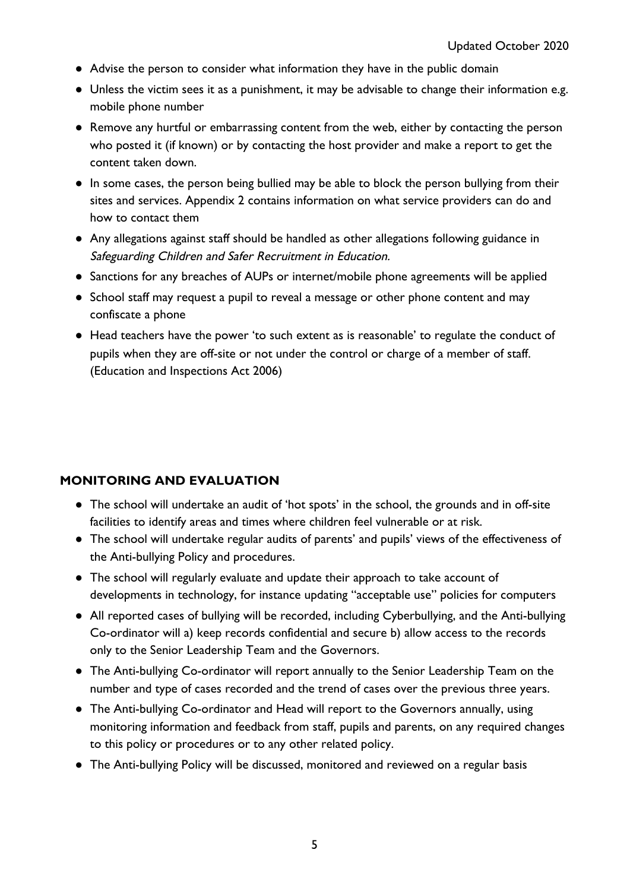- **●** Advise the person to consider what information they have in the public domain
- **●** Unless the victim sees it as a punishment, it may be advisable to change their information e.g. mobile phone number
- **●** Remove any hurtful or embarrassing content from the web, either by contacting the person who posted it (if known) or by contacting the host provider and make a report to get the content taken down.
- **●** In some cases, the person being bullied may be able to block the person bullying from their sites and services. Appendix 2 contains information on what service providers can do and how to contact them
- Any allegations against staff should be handled as other allegations following guidance in Safeguarding Children and Safer Recruitment in Education.
- Sanctions for any breaches of AUPs or internet/mobile phone agreements will be applied
- School staff may request a pupil to reveal a message or other phone content and may confiscate a phone
- Head teachers have the power 'to such extent as is reasonable' to regulate the conduct of pupils when they are off-site or not under the control or charge of a member of staff. (Education and Inspections Act 2006)

### **MONITORING AND EVALUATION**

- The school will undertake an audit of 'hot spots' in the school, the grounds and in off-site facilities to identify areas and times where children feel vulnerable or at risk.
- The school will undertake regular audits of parents' and pupils' views of the effectiveness of the Anti-bullying Policy and procedures.
- The school will regularly evaluate and update their approach to take account of developments in technology, for instance updating "acceptable use" policies for computers
- All reported cases of bullying will be recorded, including Cyberbullying, and the Anti-bullying Co-ordinator will a) keep records confidential and secure b) allow access to the records only to the Senior Leadership Team and the Governors.
- The Anti-bullying Co-ordinator will report annually to the Senior Leadership Team on the number and type of cases recorded and the trend of cases over the previous three years.
- The Anti-bullying Co-ordinator and Head will report to the Governors annually, using monitoring information and feedback from staff, pupils and parents, on any required changes to this policy or procedures or to any other related policy.
- The Anti-bullying Policy will be discussed, monitored and reviewed on a regular basis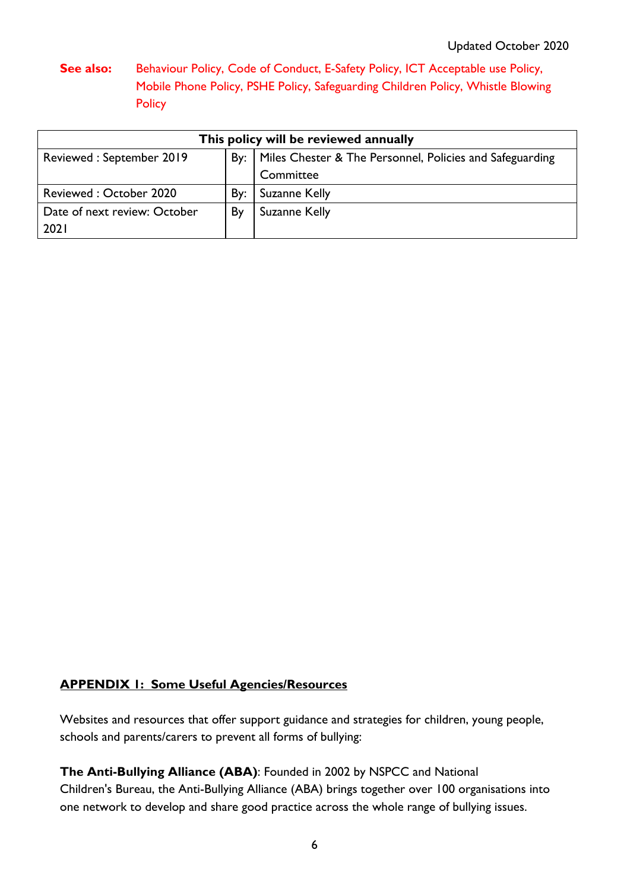See also: Behaviour Policy, Code of Conduct, E-Safety Policy, ICT Acceptable use Policy, Mobile Phone Policy, PSHE Policy, Safeguarding Children Policy, Whistle Blowing **Policy** 

| This policy will be reviewed annually |             |                                                          |
|---------------------------------------|-------------|----------------------------------------------------------|
| Reviewed: September 2019              | By: $\vert$ | Miles Chester & The Personnel, Policies and Safeguarding |
|                                       |             | Committee                                                |
| Reviewed: October 2020                | By:         | Suzanne Kelly                                            |
| Date of next review: October          | By          | Suzanne Kelly                                            |
| 2021                                  |             |                                                          |

# **APPENDIX 1: Some Useful Agencies/Resources**

Websites and resources that offer support guidance and strategies for children, young people, schools and parents/carers to prevent all forms of bullying:

**The Anti-Bullying Alliance (ABA)**: Founded in 2002 by NSPCC and National Children's Bureau, the Anti-Bullying Alliance (ABA) brings together over 100 organisations into one network to develop and share good practice across the whole range of bullying issues.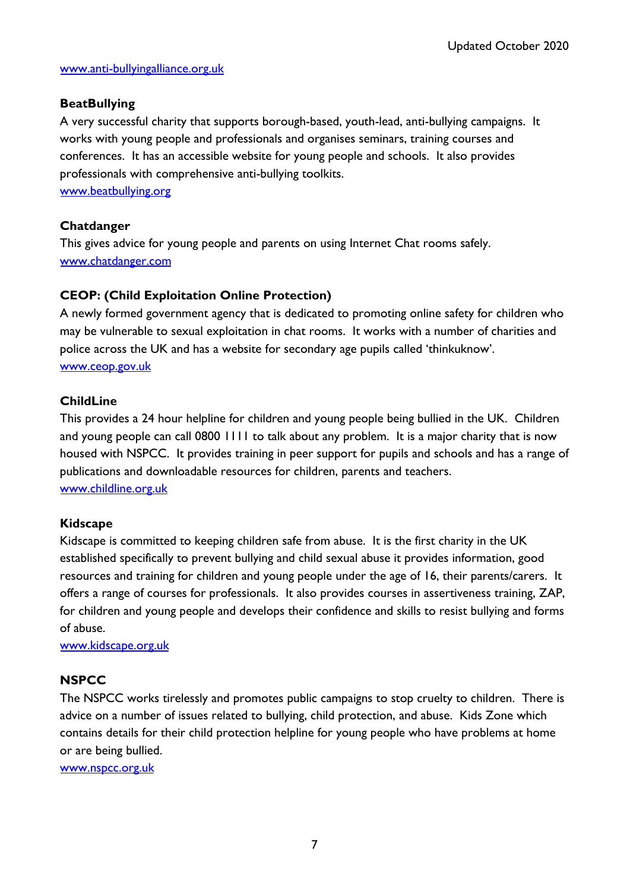#### [www.anti-bullyingalliance.org.uk](http://www.anti-bullyingalliance.org.uk/)

#### **BeatBullying**

A very successful charity that supports borough-based, youth-lead, anti-bullying campaigns. It works with young people and professionals and organises seminars, training courses and conferences. It has an accessible website for young people and schools. It also provides professionals with comprehensive anti-bullying toolkits. [www.beatbullying.org](http://www.beatbullying.org/)

#### **Chatdanger**

This gives advice for young people and parents on using Internet Chat rooms safely. [www.chatdanger.com](http://www.chatdanger.com/)

### **CEOP: (Child Exploitation Online Protection)**

A newly formed government agency that is dedicated to promoting online safety for children who may be vulnerable to sexual exploitation in chat rooms. It works with a number of charities and police across the UK and has a website for secondary age pupils called 'thinkuknow'. [www.ceop.gov.uk](http://www.ceop.gov.uk/)

#### **ChildLine**

This provides a 24 hour helpline for children and young people being bullied in the UK. Children and young people can call 0800 1111 to talk about any problem. It is a major charity that is now housed with NSPCC. It provides training in peer support for pupils and schools and has a range of publications and downloadable resources for children, parents and teachers. [www.childline.org.uk](http://www.childline.org.uk/)

#### **Kidscape**

Kidscape is committed to keeping children safe from abuse. It is the first charity in the UK established specifically to prevent bullying and child sexual abuse it provides information, good resources and training for children and young people under the age of 16, their parents/carers. It offers a range of courses for professionals. It also provides courses in assertiveness training, ZAP, for children and young people and develops their confidence and skills to resist bullying and forms of abuse.

#### [www.kidscape.org.uk](http://www.kidscape.org.uk/)

### **NSPCC**

The NSPCC works tirelessly and promotes public campaigns to stop cruelty to children. There is advice on a number of issues related to bullying, child protection, and abuse. Kids Zone which contains details for their child protection helpline for young people who have problems at home or are being bullied.

[www.nspcc.org.uk](http://www.nspcc.org.uk/)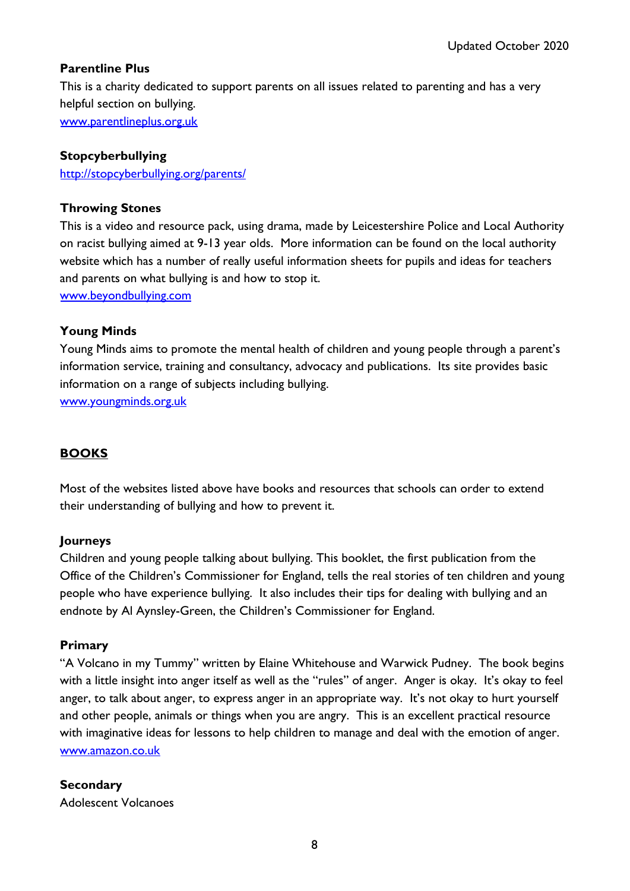## **Parentline Plus**

This is a charity dedicated to support parents on all issues related to parenting and has a very helpful section on bullying. [www.parentlineplus.org.uk](http://www.parentlineplus.org.uk/)

### **Stopcyberbullying**

<http://stopcyberbullying.org/parents/>

### **Throwing Stones**

This is a video and resource pack, using drama, made by Leicestershire Police and Local Authority on racist bullying aimed at 9-13 year olds. More information can be found on the local authority website which has a number of really useful information sheets for pupils and ideas for teachers and parents on what bullying is and how to stop it.

[www.beyondbullying.com](http://www.beyondbullying.com/)

### **Young Minds**

Young Minds aims to promote the mental health of children and young people through a parent's information service, training and consultancy, advocacy and publications. Its site provides basic information on a range of subjects including bullying.

[www.youngminds.org.uk](http://www.youngminds.org.uk/)

# **BOOKS**

Most of the websites listed above have books and resources that schools can order to extend their understanding of bullying and how to prevent it.

### **Journeys**

Children and young people talking about bullying. This booklet, the first publication from the Office of the Children's Commissioner for England, tells the real stories of ten children and young people who have experience bullying. It also includes their tips for dealing with bullying and an endnote by Al Aynsley-Green, the Children's Commissioner for England.

### **Primary**

"A Volcano in my Tummy" written by Elaine Whitehouse and Warwick Pudney. The book begins with a little insight into anger itself as well as the "rules" of anger. Anger is okay. It's okay to feel anger, to talk about anger, to express anger in an appropriate way. It's not okay to hurt yourself and other people, animals or things when you are angry. This is an excellent practical resource with imaginative ideas for lessons to help children to manage and deal with the emotion of anger. [www.amazon.co.uk](http://www.amazon.co.uk/)

### **Secondary**

Adolescent Volcanoes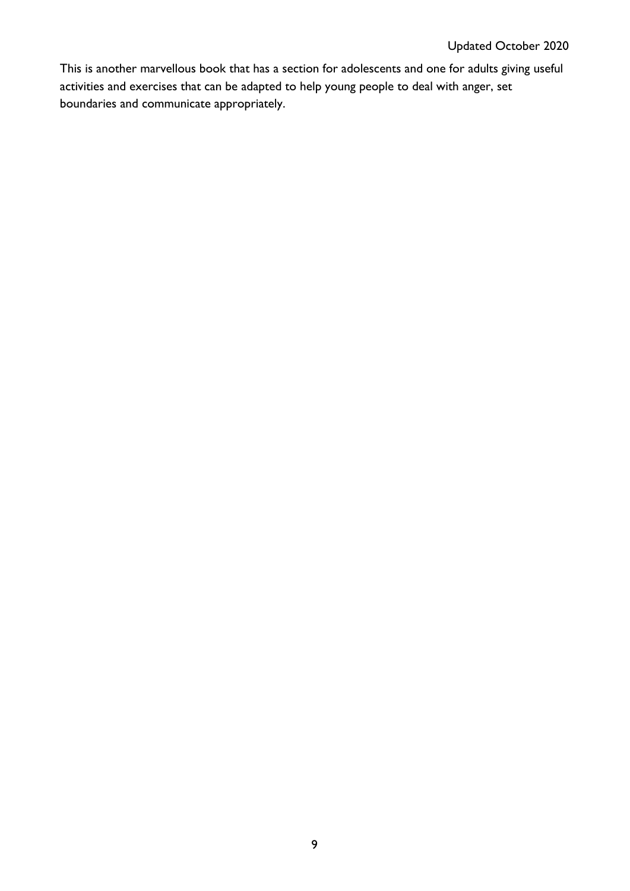This is another marvellous book that has a section for adolescents and one for adults giving useful activities and exercises that can be adapted to help young people to deal with anger, set boundaries and communicate appropriately.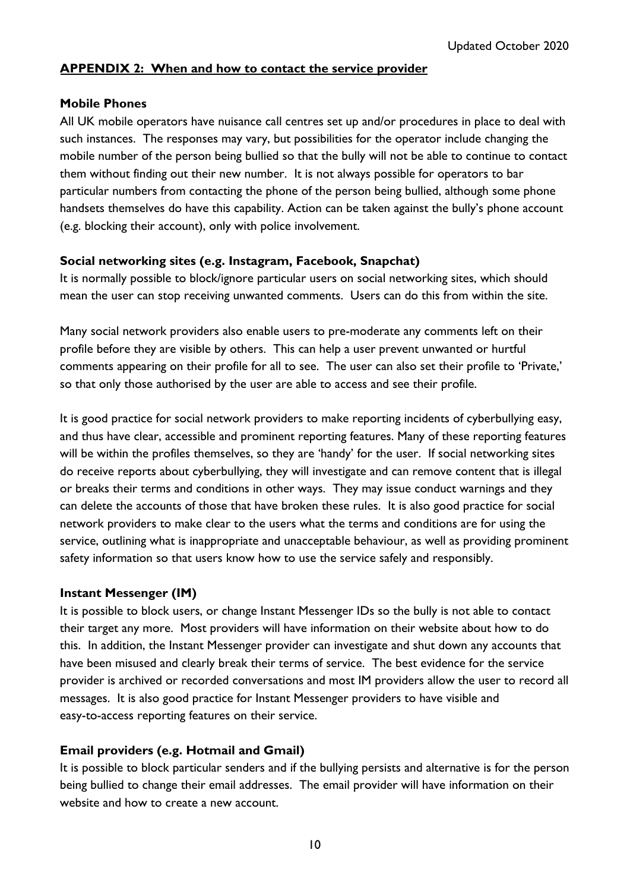### **APPENDIX 2: When and how to contact the service provider**

### **Mobile Phones**

All UK mobile operators have nuisance call centres set up and/or procedures in place to deal with such instances. The responses may vary, but possibilities for the operator include changing the mobile number of the person being bullied so that the bully will not be able to continue to contact them without finding out their new number. It is not always possible for operators to bar particular numbers from contacting the phone of the person being bullied, although some phone handsets themselves do have this capability. Action can be taken against the bully's phone account (e.g. blocking their account), only with police involvement.

### **Social networking sites (e.g. Instagram, Facebook, Snapchat)**

It is normally possible to block/ignore particular users on social networking sites, which should mean the user can stop receiving unwanted comments. Users can do this from within the site.

Many social network providers also enable users to pre-moderate any comments left on their profile before they are visible by others. This can help a user prevent unwanted or hurtful comments appearing on their profile for all to see. The user can also set their profile to 'Private,' so that only those authorised by the user are able to access and see their profile.

It is good practice for social network providers to make reporting incidents of cyberbullying easy, and thus have clear, accessible and prominent reporting features. Many of these reporting features will be within the profiles themselves, so they are 'handy' for the user. If social networking sites do receive reports about cyberbullying, they will investigate and can remove content that is illegal or breaks their terms and conditions in other ways. They may issue conduct warnings and they can delete the accounts of those that have broken these rules. It is also good practice for social network providers to make clear to the users what the terms and conditions are for using the service, outlining what is inappropriate and unacceptable behaviour, as well as providing prominent safety information so that users know how to use the service safely and responsibly.

### **Instant Messenger (IM)**

It is possible to block users, or change Instant Messenger IDs so the bully is not able to contact their target any more. Most providers will have information on their website about how to do this. In addition, the Instant Messenger provider can investigate and shut down any accounts that have been misused and clearly break their terms of service. The best evidence for the service provider is archived or recorded conversations and most IM providers allow the user to record all messages. It is also good practice for Instant Messenger providers to have visible and easy-to-access reporting features on their service.

### **Email providers (e.g. Hotmail and Gmail)**

It is possible to block particular senders and if the bullying persists and alternative is for the person being bullied to change their email addresses. The email provider will have information on their website and how to create a new account.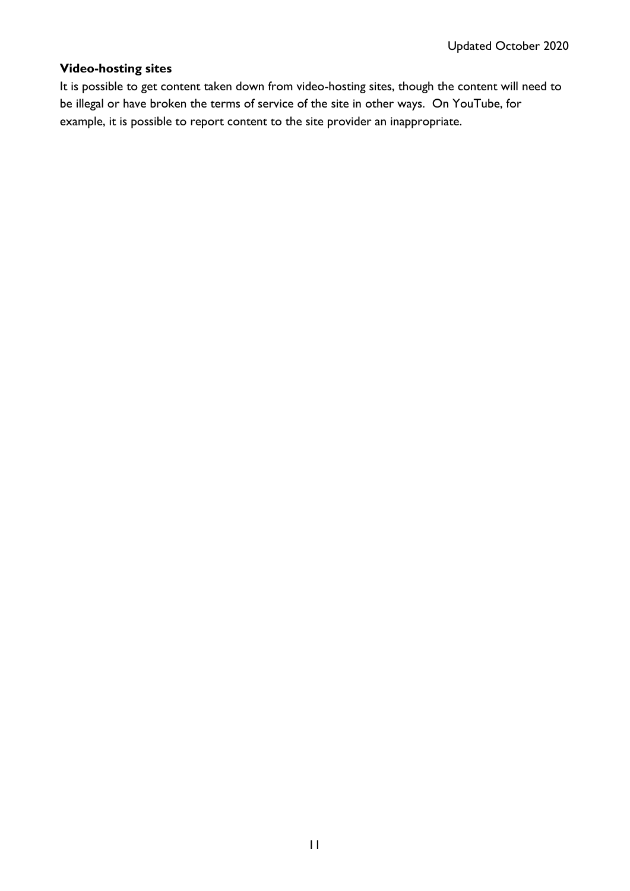## **Video-hosting sites**

It is possible to get content taken down from video-hosting sites, though the content will need to be illegal or have broken the terms of service of the site in other ways. On YouTube, for example, it is possible to report content to the site provider an inappropriate.